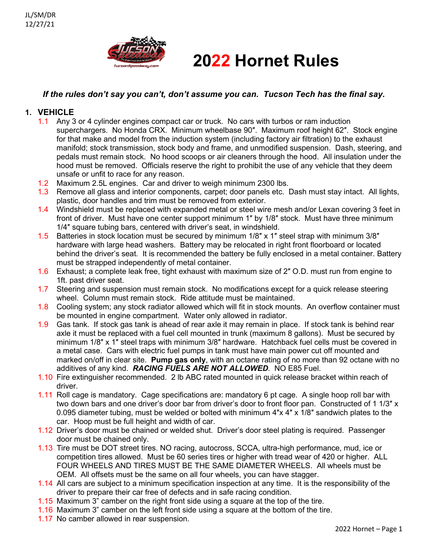

# **2022 Hornet Rules**

# *If the rules don't say you can't, don't assume you can. Tucson Tech has the final say.*

# **1. VEHICLE**

- 1.1 Any 3 or 4 cylinder engines compact car or truck. No cars with turbos or ram induction superchargers. No Honda CRX. Minimum wheelbase 90″. Maximum roof height 62″. Stock engine for that make and model from the induction system (including factory air filtration) to the exhaust manifold; stock transmission, stock body and frame, and unmodified suspension. Dash, steering, and pedals must remain stock. No hood scoops or air cleaners through the hood. All insulation under the hood must be removed. Officials reserve the right to prohibit the use of any vehicle that they deem unsafe or unfit to race for any reason.
- 1.2 Maximum 2.5L engines. Car and driver to weigh minimum 2300 lbs.
- 1.3 Remove all glass and interior components, carpet; door panels etc. Dash must stay intact. All lights, plastic, door handles and trim must be removed from exterior.
- 1.4 Windshield must be replaced with expanded metal or steel wire mesh and/or Lexan covering 3 feet in front of driver. Must have one center support minimum 1″ by 1/8″ stock. Must have three minimum 1/4″ square tubing bars, centered with driver's seat, in windshield.
- 1.5 Batteries in stock location must be secured by minimum 1/8″ x 1″ steel strap with minimum 3/8″ hardware with large head washers. Battery may be relocated in right front floorboard or located behind the driver's seat. It is recommended the battery be fully enclosed in a metal container. Battery must be strapped independently of metal container.
- 1.6 Exhaust; a complete leak free, tight exhaust with maximum size of 2″ O.D. must run from engine to 1ft. past driver seat.
- 1.7 Steering and suspension must remain stock. No modifications except for a quick release steering wheel. Column must remain stock. Ride attitude must be maintained.
- 1.8 Cooling system; any stock radiator allowed which will fit in stock mounts. An overflow container must be mounted in engine compartment. Water only allowed in radiator.
- 1.9 Gas tank. If stock gas tank is ahead of rear axle it may remain in place. If stock tank is behind rear axle it must be replaced with a fuel cell mounted in trunk (maximum 8 gallons). Must be secured by minimum 1/8″ x 1″ steel traps with minimum 3/8″ hardware. Hatchback fuel cells must be covered in a metal case. Cars with electric fuel pumps in tank must have main power cut off mounted and marked on/off in clear site. **Pump gas only**, with an octane rating of no more than 92 octane with no additives of any kind. *RACING FUELS ARE NOT ALLOWED*. NO E85 Fuel.
- 1.10 Fire extinguisher recommended. 2 lb ABC rated mounted in quick release bracket within reach of driver.
- 1.11 Roll cage is mandatory. Cage specifications are: mandatory 6 pt cage. A single hoop roll bar with two down bars and one driver's door bar from driver's door to front floor pan. Constructed of 1 1/3″ x 0.095 diameter tubing, must be welded or bolted with minimum 4″x 4″ x 1/8″ sandwich plates to the car. Hoop must be full height and width of car.
- 1.12 Driver's door must be chained or welded shut. Driver's door steel plating is required. Passenger door must be chained only.
- 1.13 Tire must be DOT street tires. NO racing, autocross, SCCA, ultra-high performance, mud, ice or competition tires allowed. Must be 60 series tires or higher with tread wear of 420 or higher. ALL FOUR WHEELS AND TIRES MUST BE THE SAME DIAMETER WHEELS. All wheels must be OEM. All offsets must be the same on all four wheels, you can have stagger.
- 1.14 All cars are subject to a minimum specification inspection at any time. It is the responsibility of the driver to prepare their car free of defects and in safe racing condition.
- 1.15 Maximum 3" camber on the right front side using a square at the top of the tire.
- 1.16 Maximum 3" camber on the left front side using a square at the bottom of the tire.
- 1.17 No camber allowed in rear suspension.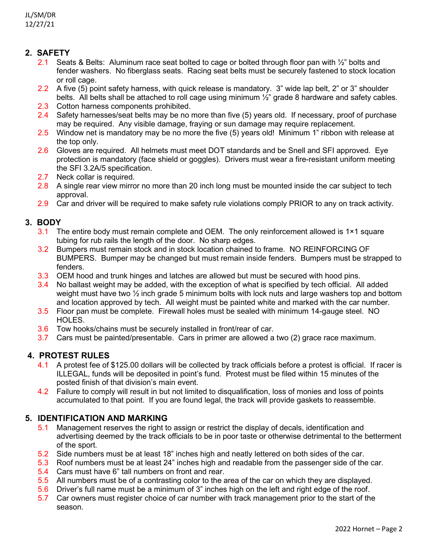# **2. SAFETY**

- 2.1 Seats & Belts: Aluminum race seat bolted to cage or bolted through floor pan with  $\frac{1}{2}$ " bolts and fender washers. No fiberglass seats. Racing seat belts must be securely fastened to stock location or roll cage.
- 2.2 A five (5) point safety harness, with quick release is mandatory. 3" wide lap belt, 2" or 3" shoulder belts. All belts shall be attached to roll cage using minimum ½" grade 8 hardware and safety cables.
- 2.3 Cotton harness components prohibited.
- 2.4 Safety harnesses/seat belts may be no more than five (5) years old. If necessary, proof of purchase may be required. Any visible damage, fraying or sun damage may require replacement.
- 2.5 Window net is mandatory may be no more the five (5) years old! Minimum 1" ribbon with release at the top only.
- 2.6 Gloves are required. All helmets must meet DOT standards and be Snell and SFI approved. Eye protection is mandatory (face shield or goggles). Drivers must wear a fire-resistant uniform meeting the SFI 3.2A/5 specification.
- 2.7 Neck collar is required.
- 2.8 A single rear view mirror no more than 20 inch long must be mounted inside the car subject to tech approval.
- 2.9 Car and driver will be required to make safety rule violations comply PRIOR to any on track activity.

## **3. BODY**

- 3.1 The entire body must remain complete and OEM. The only reinforcement allowed is 1×1 square tubing for rub rails the length of the door. No sharp edges.
- 3.2 Bumpers must remain stock and in stock location chained to frame. NO REINFORCING OF BUMPERS. Bumper may be changed but must remain inside fenders. Bumpers must be strapped to fenders.
- 3.3 OEM hood and trunk hinges and latches are allowed but must be secured with hood pins.
- 3.4 No ballast weight may be added, with the exception of what is specified by tech official. All added weight must have two  $\frac{1}{2}$  inch grade 5 minimum bolts with lock nuts and large washers top and bottom and location approved by tech. All weight must be painted white and marked with the car number.
- 3.5 Floor pan must be complete. Firewall holes must be sealed with minimum 14-gauge steel. NO HOLES.
- 3.6 Tow hooks/chains must be securely installed in front/rear of car.
- 3.7 Cars must be painted/presentable. Cars in primer are allowed a two (2) grace race maximum.

# **4. PROTEST RULES**

- 4.1 A protest fee of \$125.00 dollars will be collected by track officials before a protest is official. If racer is ILLEGAL, funds will be deposited in point's fund. Protest must be filed within 15 minutes of the posted finish of that division's main event.
- 4.2 Failure to comply will result in but not limited to disqualification, loss of monies and loss of points accumulated to that point. If you are found legal, the track will provide gaskets to reassemble.

## **5. IDENTIFICATION AND MARKING**

- 5.1 Management reserves the right to assign or restrict the display of decals, identification and advertising deemed by the track officials to be in poor taste or otherwise detrimental to the betterment of the sport.
- 5.2 Side numbers must be at least 18" inches high and neatly lettered on both sides of the car.
- 5.3 Roof numbers must be at least 24" inches high and readable from the passenger side of the car.
- 5.4 Cars must have 6" tall numbers on front and rear.
- 5.5 All numbers must be of a contrasting color to the area of the car on which they are displayed.
- 5.6 Driver's full name must be a minimum of 3" inches high on the left and right edge of the roof.
- 5.7 Car owners must register choice of car number with track management prior to the start of the season.